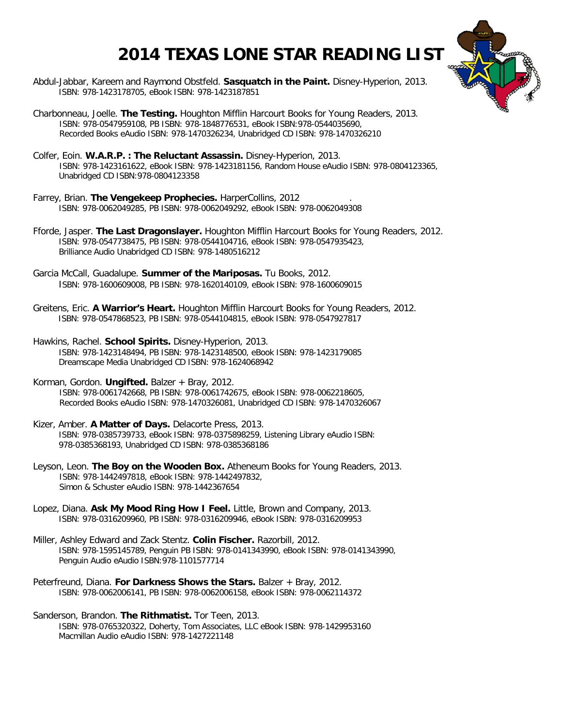## **2014 TEXAS LONE STAR READING LIST**



- Abdul-Jabbar, Kareem and Raymond Obstfeld. **Sasquatch in the Paint.** Disney-Hyperion, 2013. ISBN: 978-1423178705, eBook ISBN: 978-1423187851
- Charbonneau, Joelle. **The Testing.** Houghton Mifflin Harcourt Books for Young Readers, 2013. ISBN: 978-0547959108, PB ISBN: 978-1848776531, eBook ISBN:978-0544035690, Recorded Books eAudio ISBN: 978-1470326234, Unabridged CD ISBN: 978-1470326210
- Colfer, Eoin. **W.A.R.P. : The Reluctant Assassin.** Disney-Hyperion, 2013. ISBN: 978-1423161622, eBook ISBN: 978-1423181156, Random House eAudio ISBN: 978-0804123365, Unabridged CD ISBN:978-0804123358
- Farrey, Brian. **The Vengekeep Prophecies.** HarperCollins, 2012 . ISBN: 978-0062049285, PB ISBN: 978-0062049292, eBook ISBN: 978-0062049308
- Fforde, Jasper. **The Last Dragonslayer.** Houghton Mifflin Harcourt Books for Young Readers, 2012. ISBN: 978-0547738475, PB ISBN: 978-0544104716, eBook ISBN: 978-0547935423, Brilliance Audio Unabridged CD ISBN: 978-1480516212
- Garcia McCall, Guadalupe. **Summer of the Mariposas.** Tu Books, 2012. ISBN: 978-1600609008, PB ISBN: 978-1620140109, eBook ISBN: 978-1600609015
- Greitens, Eric. **A Warrior's Heart.** Houghton Mifflin Harcourt Books for Young Readers, 2012. ISBN: 978-0547868523, PB ISBN: 978-0544104815, eBook ISBN: 978-0547927817
- Hawkins, Rachel. **School Spirits.** Disney-Hyperion, 2013. ISBN: 978-1423148494, PB ISBN: 978-1423148500, eBook ISBN: 978-1423179085 Dreamscape Media Unabridged CD ISBN: 978-1624068942
- Korman, Gordon. **Ungifted.** Balzer + Bray, 2012. ISBN: 978-0061742668, PB ISBN: 978-0061742675, eBook ISBN: 978-0062218605, Recorded Books eAudio ISBN: 978-1470326081, Unabridged CD ISBN: 978-1470326067
- Kizer, Amber. **A Matter of Days.** Delacorte Press, 2013. ISBN: 978-0385739733, eBook ISBN: 978-0375898259, Listening Library eAudio ISBN: 978-0385368193, Unabridged CD ISBN: 978-0385368186
- Leyson, Leon. **The Boy on the Wooden Box.** Atheneum Books for Young Readers, 2013. ISBN: 978-1442497818, eBook ISBN: 978-1442497832, Simon & Schuster eAudio ISBN: 978-1442367654
- Lopez, Diana. **Ask My Mood Ring How I Feel.** Little, Brown and Company, 2013. ISBN: 978-0316209960, PB ISBN: 978-0316209946, eBook ISBN: 978-0316209953
- Miller, Ashley Edward and Zack Stentz. **Colin Fischer.** Razorbill, 2012. ISBN: 978-1595145789, Penguin PB ISBN: 978-0141343990, eBook ISBN: 978-0141343990, Penguin Audio eAudio ISBN:978-1101577714
- Peterfreund, Diana. **For Darkness Shows the Stars.** Balzer + Bray, 2012. ISBN: 978-0062006141, PB ISBN: 978-0062006158, eBook ISBN: 978-0062114372
- Sanderson, Brandon. **The Rithmatist.** Tor Teen, 2013. ISBN: 978-0765320322, Doherty, Tom Associates, LLC eBook ISBN: 978-1429953160 Macmillan Audio eAudio ISBN: 978-1427221148